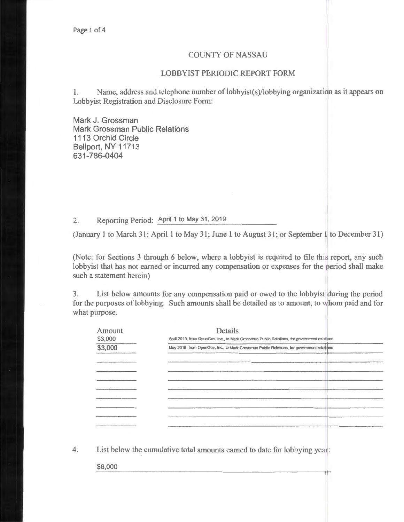## COUNTY OF NASSAU

## LOBBYIST PERIODIC REPORT FORM

1. Name, address and telephone number of lobbyist(s)/lobbying organization as it appears on Lobbyist Registration and Disclosure Form:

Mark J. Grossman Mark Grossman Public Relations 1113 Orchid Circle Bellport, NY 11713 631-786-0404

2. Reporting Period: April 1 to May 31, 2019

(January 1 to March 31; April 1 to May 31; June 1 to August 31; or September 1 to December 31)

(Note: for Sections 3 through 6 below, where a lobbyist is required to file this report, any such lobbyist that has not earned or incurred any compensation or expenses for the period shall make such a statement herein)

3. List below amounts for any compensation paid or owed to the lobbyist during the period for the purposes of lobbying. Such amounts shall be detailed as to amount, to whom paid and for what purpose.

| Amount  | Details                                                                                     |  |
|---------|---------------------------------------------------------------------------------------------|--|
| \$3,000 | April 2019, from OpenGov, Inc., to Mark Grossman Public Relations, for government relations |  |
| \$3,000 | May 2019, from OpenGov, Inc., to Mark Grossman Public Relations, for government relations   |  |
|         |                                                                                             |  |
|         |                                                                                             |  |
|         |                                                                                             |  |
|         |                                                                                             |  |
|         |                                                                                             |  |
|         |                                                                                             |  |
|         |                                                                                             |  |
|         |                                                                                             |  |
|         |                                                                                             |  |

4. List below the cumulative total amounts earned to date for lobbying year:

\$6,000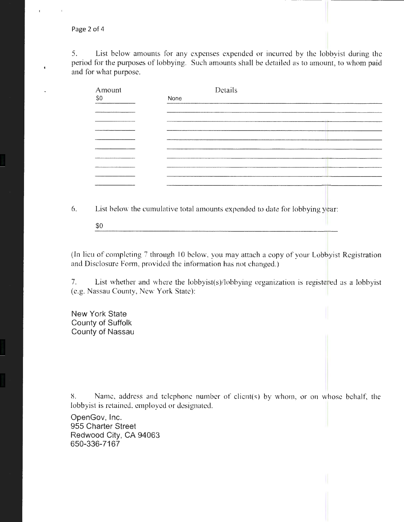Page 2 of 4

5. List below amounts for any expenses expended or incurred by the lobbyist during the period for the purposes of lobbying. Such amounts shall be detailed as to amount, to whom paid and for what purpose.

| Amount                        | Details |  |
|-------------------------------|---------|--|
| \$0                           | None    |  |
|                               |         |  |
| ,,,,,,,,,,,,,,,,,,,,,,,,,,,,, |         |  |
|                               |         |  |
|                               |         |  |
|                               |         |  |
|                               |         |  |
|                               |         |  |
|                               |         |  |
|                               |         |  |
|                               |         |  |
|                               |         |  |
|                               |         |  |

6. List below the cumulative total amounts expended to date for lobbying year:

\$0

(In lieu of completing 7 through 10 below, you may attach a copy of your Lobbyist Registration and Disclosure Form, provided the information has not changed.)

7. List whether and where the lobbyist(s)/lobbying organization is registered as a lobbyist (e.g. Nassau County, New York State):

New York State County of Suffolk County of Nassau

8. Name, address and telephone number of client(s) by whom, or on whose behalf, the lobbyist is retained, employed or designated.

OpenGov, Inc. 955 Charter Street Redwood City, CA 94063 650-336-7167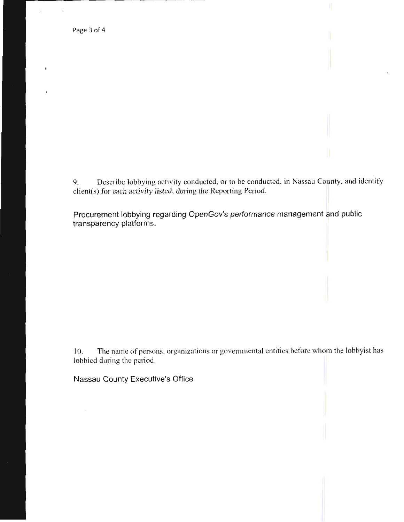$\mathfrak{t}$ 

 $\Delta$ 

9. Describe lobbying activity conducted, or to be conducted, in Nassau County, and identify client(s) for each activity listed, during the Reporting Period.

Procurement lobbying regarding OpenGov's performance management and public transparency platforms.

1 0. The name of persons, organizations or governmental entities before whom the lobbyist has lobbied during the period.

Nassau County Executive's Office